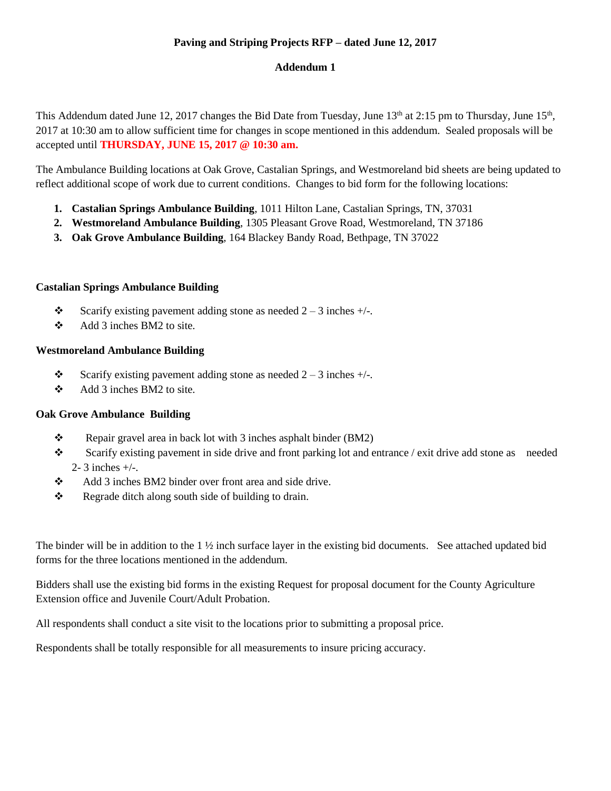# **Paving and Striping Projects RFP – dated June 12, 2017**

## **Addendum 1**

This Addendum dated June 12, 2017 changes the Bid Date from Tuesday, June 13<sup>th</sup> at 2:15 pm to Thursday, June 15<sup>th</sup>, 2017 at 10:30 am to allow sufficient time for changes in scope mentioned in this addendum. Sealed proposals will be accepted until **THURSDAY, JUNE 15, 2017 @ 10:30 am.**

The Ambulance Building locations at Oak Grove, Castalian Springs, and Westmoreland bid sheets are being updated to reflect additional scope of work due to current conditions. Changes to bid form for the following locations:

- **1. Castalian Springs Ambulance Building**, 1011 Hilton Lane, Castalian Springs, TN, 37031
- **2. Westmoreland Ambulance Building**, 1305 Pleasant Grove Road, Westmoreland, TN 37186
- **3. Oak Grove Ambulance Building**, 164 Blackey Bandy Road, Bethpage, TN 37022

#### **Castalian Springs Ambulance Building**

- Scarify existing pavement adding stone as needed  $2 3$  inches  $+/-$ .
- $\triangleleft$  Add 3 inches BM2 to site.

## **Westmoreland Ambulance Building**

- Scarify existing pavement adding stone as needed  $2 3$  inches  $+/-$ .
- $\div$  Add 3 inches BM2 to site.

#### **Oak Grove Ambulance Building**

- Repair gravel area in back lot with 3 inches as phalt binder (BM2)
- Scarify existing pavement in side drive and front parking lot and entrance / exit drive add stone as needed 2- 3 inches +/-.
- Add 3 inches BM2 binder over front area and side drive.
- $\mathbf{\hat{P}}$  Regrade ditch along south side of building to drain.

The binder will be in addition to the  $1 \frac{1}{2}$  inch surface layer in the existing bid documents. See attached updated bid forms for the three locations mentioned in the addendum.

Bidders shall use the existing bid forms in the existing Request for proposal document for the County Agriculture Extension office and Juvenile Court/Adult Probation.

All respondents shall conduct a site visit to the locations prior to submitting a proposal price.

Respondents shall be totally responsible for all measurements to insure pricing accuracy.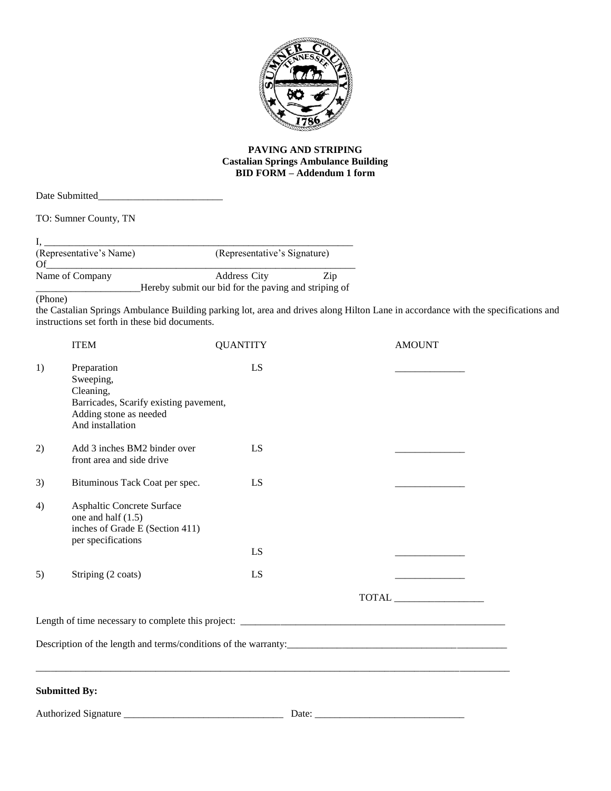

#### **PAVING AND STRIPING Castalian Springs Ambulance Building BID FORM – Addendum 1 form**

Date Submitted\_\_\_\_\_\_\_\_\_\_\_\_\_\_\_\_\_\_\_\_\_\_\_\_\_

TO: Sumner County, TN

| (Representative's Name) | (Representative's Signature)                         |     |
|-------------------------|------------------------------------------------------|-----|
| Of                      |                                                      |     |
| Name of Company         | <b>Address City</b>                                  | Zip |
|                         | Hereby submit our bid for the paving and striping of |     |

(Phone)

the Castalian Springs Ambulance Building parking lot, area and drives along Hilton Lane in accordance with the specifications and instructions set forth in these bid documents.

|    | <b>ITEM</b>                                                                                                                   | <b>QUANTITY</b> | <b>AMOUNT</b> |
|----|-------------------------------------------------------------------------------------------------------------------------------|-----------------|---------------|
| 1) | Preparation<br>Sweeping,<br>Cleaning,<br>Barricades, Scarify existing pavement,<br>Adding stone as needed<br>And installation | LS              |               |
| 2) | Add 3 inches BM2 binder over<br>front area and side drive                                                                     | LS              |               |
| 3) | Bituminous Tack Coat per spec.                                                                                                | LS              |               |
| 4) | Asphaltic Concrete Surface<br>one and half $(1.5)$<br>inches of Grade E (Section 411)<br>per specifications                   |                 |               |
|    |                                                                                                                               | LS              |               |
| 5) | Striping (2 coats)                                                                                                            | LS              |               |
|    |                                                                                                                               |                 |               |
|    |                                                                                                                               |                 |               |
|    |                                                                                                                               |                 |               |
|    | <b>Submitted By:</b>                                                                                                          |                 |               |
|    | Authorized Signature                                                                                                          |                 |               |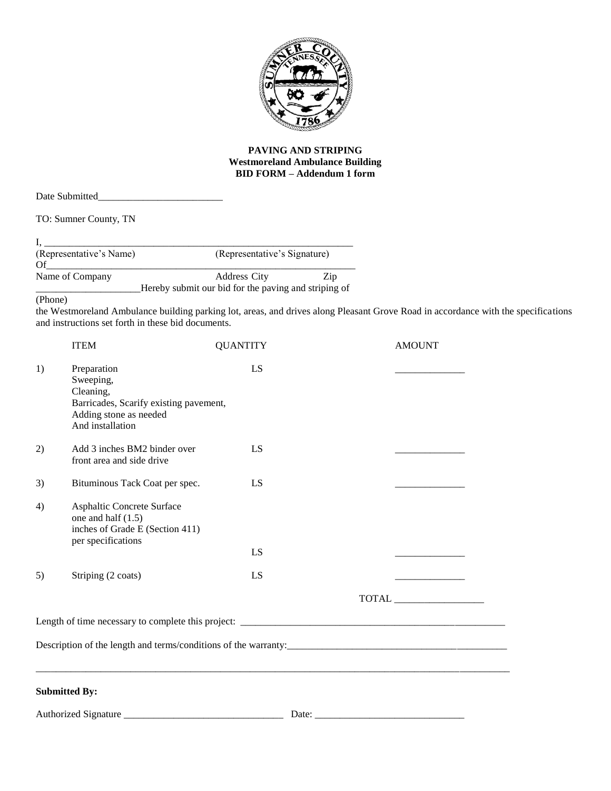

#### **PAVING AND STRIPING Westmoreland Ambulance Building BID FORM – Addendum 1 form**

TO: Sumner County, TN

| (Representative's Name) | (Representative's Signature)                         |     |
|-------------------------|------------------------------------------------------|-----|
| Of                      |                                                      |     |
| Name of Company         | <b>Address City</b>                                  | Zip |
|                         | Hereby submit our bid for the paving and striping of |     |

(Phone)

the Westmoreland Ambulance building parking lot, areas, and drives along Pleasant Grove Road in accordance with the specifications and instructions set forth in these bid documents.

|    | <b>ITEM</b>                                                                                                                   | <b>QUANTITY</b> | <b>AMOUNT</b> |  |
|----|-------------------------------------------------------------------------------------------------------------------------------|-----------------|---------------|--|
| 1) | Preparation<br>Sweeping,<br>Cleaning,<br>Barricades, Scarify existing pavement,<br>Adding stone as needed<br>And installation | LS              |               |  |
| 2) | Add 3 inches BM2 binder over<br>front area and side drive                                                                     | LS              |               |  |
| 3) | Bituminous Tack Coat per spec.                                                                                                | LS              |               |  |
| 4) | Asphaltic Concrete Surface<br>one and half $(1.5)$<br>inches of Grade E (Section 411)<br>per specifications                   |                 |               |  |
|    |                                                                                                                               | LS              |               |  |
| 5) | Striping (2 coats)                                                                                                            | LS              |               |  |
|    |                                                                                                                               |                 |               |  |
|    |                                                                                                                               |                 |               |  |
|    |                                                                                                                               |                 |               |  |
|    | <b>Submitted By:</b>                                                                                                          |                 |               |  |
|    |                                                                                                                               | Date:           |               |  |